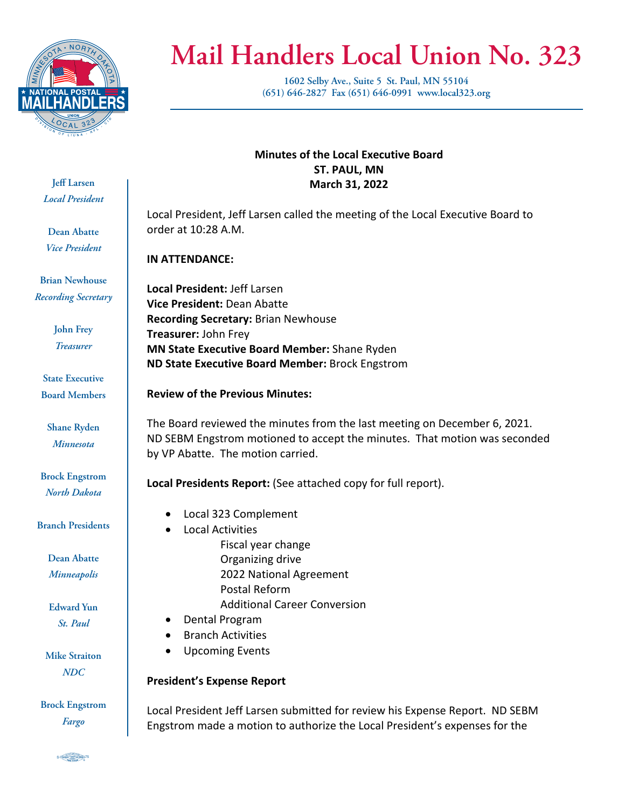

# **Mail Handlers Local Union No. 323**

**1602 Selby Ave., Suite 5 St. Paul, MN 55104 (651) 646-2827 Fax (651) 646-0991 www.local323.org**

**Jeff Larsen** *Local President*

**Dean Abatte** *Vice President*

**Brian Newhouse** *Recording Secretary*

> **John Frey** *Treasurer*

**State Executive Board Members**

**Shane Ryden** *Minnesota*

**Brock Engstrom** *North Dakota*

**Branch Presidents**

**Dean Abatte** *Minneapolis*

**Edward Yun** *St. Paul*

**Mike Straiton** *NDC*

**Brock Engstrom** *Fargo*

**Minutes of the Local Executive Board ST. PAUL, MN March 31, 2022**

Local President, Jeff Larsen called the meeting of the Local Executive Board to order at 10:28 A.M.

**IN ATTENDANCE:**

**Local President:** Jeff Larsen **Vice President:** Dean Abatte **Recording Secretary:** Brian Newhouse **Treasurer:** John Frey **MN State Executive Board Member:** Shane Ryden **ND State Executive Board Member:** Brock Engstrom

**Review of the Previous Minutes:**

The Board reviewed the minutes from the last meeting on December 6, 2021. ND SEBM Engstrom motioned to accept the minutes. That motion was seconded by VP Abatte. The motion carried.

**Local Presidents Report:** (See attached copy for full report).

- Local 323 Complement
- Local Activities
	- Fiscal year change Organizing drive 2022 National Agreement Postal Reform Additional Career Conversion
- Dental Program
- Branch Activities
- Upcoming Events

## **President's Expense Report**

Local President Jeff Larsen submitted for review his Expense Report. ND SEBM Engstrom made a motion to authorize the Local President's expenses for the

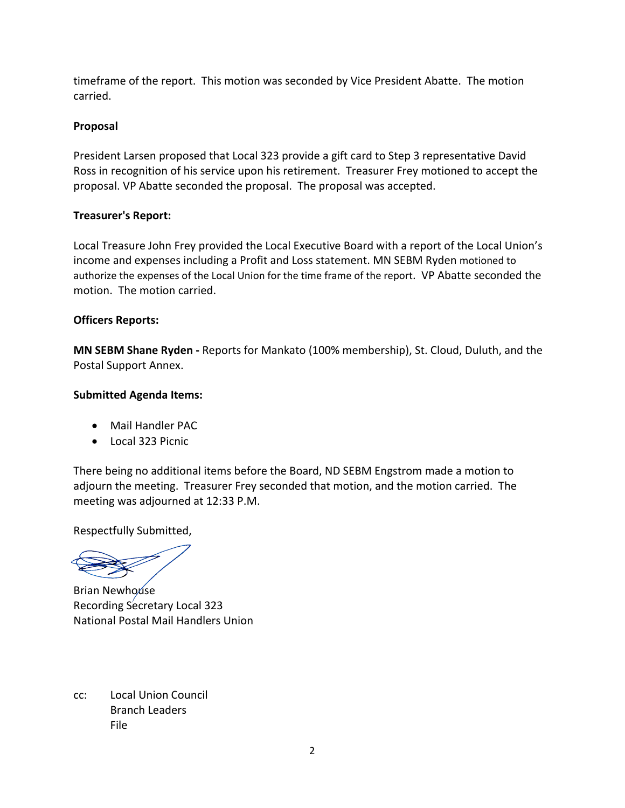timeframe of the report. This motion was seconded by Vice President Abatte. The motion carried.

### **Proposal**

President Larsen proposed that Local 323 provide a gift card to Step 3 representative David Ross in recognition of his service upon his retirement. Treasurer Frey motioned to accept the proposal. VP Abatte seconded the proposal. The proposal was accepted.

#### **Treasurer's Report:**

Local Treasure John Frey provided the Local Executive Board with a report of the Local Union's income and expenses including a Profit and Loss statement. MN SEBM Ryden motioned to authorize the expenses of the Local Union for the time frame of the report. VP Abatte seconded the motion. The motion carried.

## **Officers Reports:**

**MN SEBM Shane Ryden -** Reports for Mankato (100% membership), St. Cloud, Duluth, and the Postal Support Annex.

## **Submitted Agenda Items:**

- Mail Handler PAC
- Local 323 Picnic

There being no additional items before the Board, ND SEBM Engstrom made a motion to adjourn the meeting. Treasurer Frey seconded that motion, and the motion carried. The meeting was adjourned at 12:33 P.M.

Respectfully Submitted,

Brian Newhouse Recording Secretary Local 323 National Postal Mail Handlers Union

cc: Local Union Council Branch Leaders File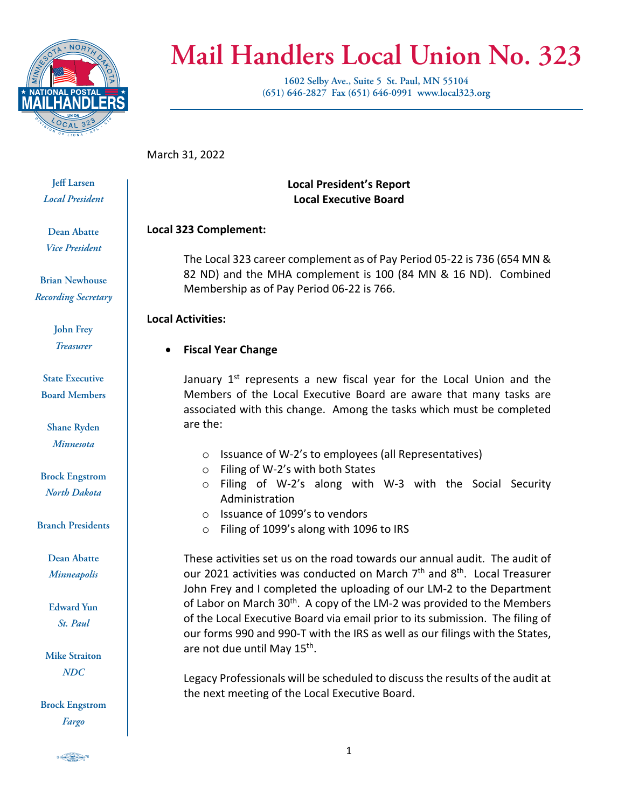

## **Mail Handlers Local Union No. 323**

**1602 Selby Ave., Suite 5 St. Paul, MN 55104 (651) 646-2827 Fax (651) 646-0991 www.local323.org**

March 31, 2022

**Jeff Larsen** *Local President*

**Dean Abatte** *Vice President*

**Brian Newhouse** *Recording Secretary*

> **John Frey** *Treasurer*

**State Executive Board Members**

**Shane Ryden** *Minnesota*

**Brock Engstrom** *North Dakota*

**Branch Presidents**

**Dean Abatte** *Minneapolis*

**Edward Yun** *St. Paul*

**Mike Straiton** *NDC*

**Brock Engstrom** *Fargo*

**Local President's Report Local Executive Board**

## **Local 323 Complement:**

The Local 323 career complement as of Pay Period 05‐22 is 736 (654 MN & 82 ND) and the MHA complement is 100 (84 MN & 16 ND). Combined Membership as of Pay Period 06‐22 is 766.

**Local Activities:**

## **Fiscal Year Change**

January  $1<sup>st</sup>$  represents a new fiscal year for the Local Union and the Members of the Local Executive Board are aware that many tasks are associated with this change. Among the tasks which must be completed are the:

- o Issuance of W‐2's to employees (all Representatives)
- o Filing of W‐2's with both States
- o Filing of W‐2's along with W‐3 with the Social Security Administration
- o Issuance of 1099's to vendors
- o Filing of 1099's along with 1096 to IRS

These activities set us on the road towards our annual audit. The audit of our 2021 activities was conducted on March  $7<sup>th</sup>$  and  $8<sup>th</sup>$ . Local Treasurer John Frey and I completed the uploading of our LM‐2 to the Department of Labor on March  $30<sup>th</sup>$ . A copy of the LM-2 was provided to the Members of the Local Executive Board via email prior to its submission. The filing of our forms 990 and 990‐T with the IRS as well as our filings with the States, are not due until May 15<sup>th</sup>.

Legacy Professionals will be scheduled to discuss the results of the audit at the next meeting of the Local Executive Board.

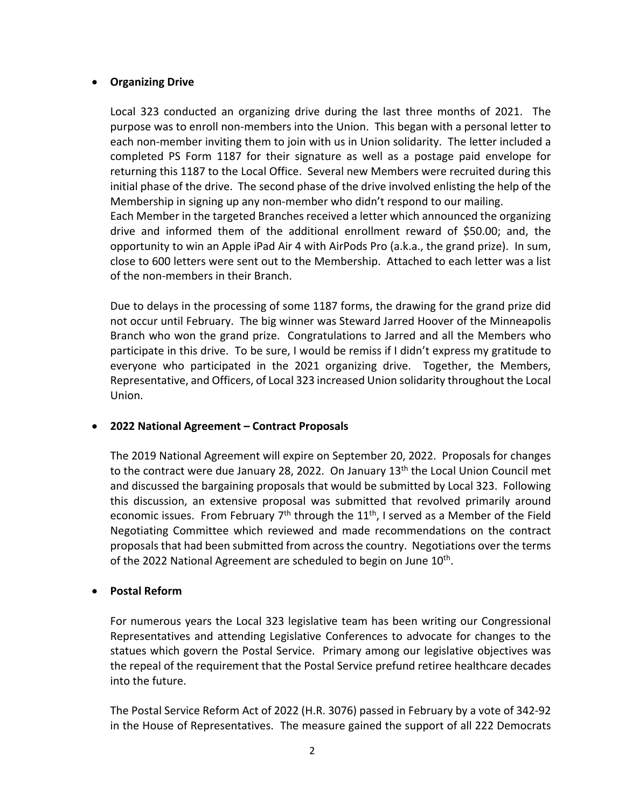#### **Organizing Drive**

Local 323 conducted an organizing drive during the last three months of 2021. The purpose was to enroll non‐members into the Union. This began with a personal letter to each non-member inviting them to join with us in Union solidarity. The letter included a completed PS Form 1187 for their signature as well as a postage paid envelope for returning this 1187 to the Local Office. Several new Members were recruited during this initial phase of the drive. The second phase of the drive involved enlisting the help of the Membership in signing up any non‐member who didn't respond to our mailing. Each Member in the targeted Branches received a letter which announced the organizing drive and informed them of the additional enrollment reward of \$50.00; and, the

opportunity to win an Apple iPad Air 4 with AirPods Pro (a.k.a., the grand prize). In sum, close to 600 letters were sent out to the Membership. Attached to each letter was a list of the non‐members in their Branch.

Due to delays in the processing of some 1187 forms, the drawing for the grand prize did not occur until February. The big winner was Steward Jarred Hoover of the Minneapolis Branch who won the grand prize. Congratulations to Jarred and all the Members who participate in this drive. To be sure, I would be remiss if I didn't express my gratitude to everyone who participated in the 2021 organizing drive. Together, the Members, Representative, and Officers, of Local 323 increased Union solidarity throughout the Local Union.

#### **2022 National Agreement – Contract Proposals**

The 2019 National Agreement will expire on September 20, 2022. Proposals for changes to the contract were due January 28, 2022. On January 13<sup>th</sup> the Local Union Council met and discussed the bargaining proposals that would be submitted by Local 323. Following this discussion, an extensive proposal was submitted that revolved primarily around economic issues. From February  $7<sup>th</sup>$  through the  $11<sup>th</sup>$ , I served as a Member of the Field Negotiating Committee which reviewed and made recommendations on the contract proposals that had been submitted from across the country. Negotiations over the terms of the 2022 National Agreement are scheduled to begin on June  $10<sup>th</sup>$ .

#### **Postal Reform**

For numerous years the Local 323 legislative team has been writing our Congressional Representatives and attending Legislative Conferences to advocate for changes to the statues which govern the Postal Service. Primary among our legislative objectives was the repeal of the requirement that the Postal Service prefund retiree healthcare decades into the future.

The Postal Service Reform Act of 2022 (H.R. 3076) passed in February by a vote of 342‐92 in the House of Representatives. The measure gained the support of all 222 Democrats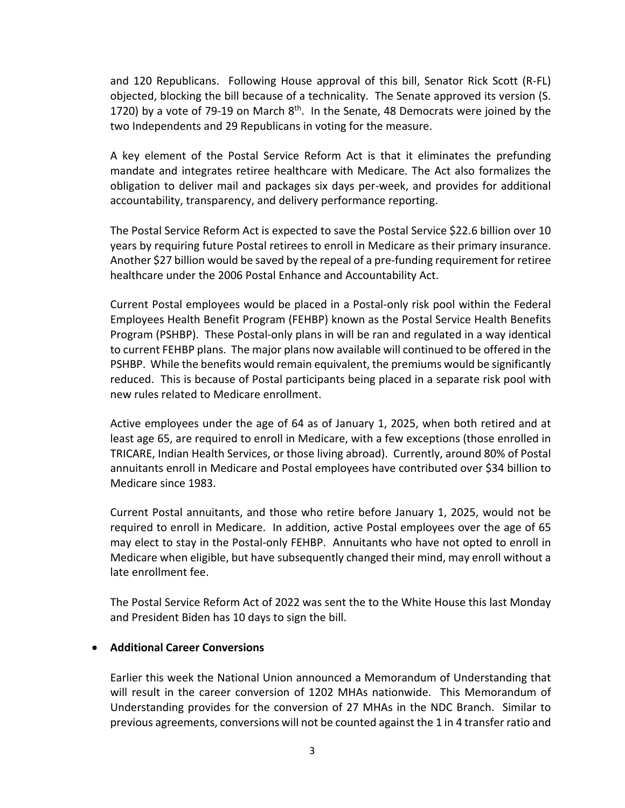and 120 Republicans. Following House approval of this bill, Senator Rick Scott (R‐FL) objected, blocking the bill because of a technicality. The Senate approved its version (S. 1720) by a vote of 79-19 on March  $8<sup>th</sup>$ . In the Senate, 48 Democrats were joined by the two Independents and 29 Republicans in voting for the measure.

A key element of the Postal Service Reform Act is that it eliminates the prefunding mandate and integrates retiree healthcare with Medicare. The Act also formalizes the obligation to deliver mail and packages six days per‐week, and provides for additional accountability, transparency, and delivery performance reporting.

The Postal Service Reform Act is expected to save the Postal Service \$22.6 billion over 10 years by requiring future Postal retirees to enroll in Medicare as their primary insurance. Another \$27 billion would be saved by the repeal of a pre‐funding requirement for retiree healthcare under the 2006 Postal Enhance and Accountability Act.

Current Postal employees would be placed in a Postal‐only risk pool within the Federal Employees Health Benefit Program (FEHBP) known as the Postal Service Health Benefits Program (PSHBP). These Postal‐only plans in will be ran and regulated in a way identical to current FEHBP plans. The major plans now available will continued to be offered in the PSHBP. While the benefits would remain equivalent, the premiums would be significantly reduced. This is because of Postal participants being placed in a separate risk pool with new rules related to Medicare enrollment.

Active employees under the age of 64 as of January 1, 2025, when both retired and at least age 65, are required to enroll in Medicare, with a few exceptions (those enrolled in TRICARE, Indian Health Services, or those living abroad). Currently, around 80% of Postal annuitants enroll in Medicare and Postal employees have contributed over \$34 billion to Medicare since 1983.

Current Postal annuitants, and those who retire before January 1, 2025, would not be required to enroll in Medicare. In addition, active Postal employees over the age of 65 may elect to stay in the Postal‐only FEHBP. Annuitants who have not opted to enroll in Medicare when eligible, but have subsequently changed their mind, may enroll without a late enrollment fee.

The Postal Service Reform Act of 2022 was sent the to the White House this last Monday and President Biden has 10 days to sign the bill.

#### **Additional Career Conversions**

Earlier this week the National Union announced a Memorandum of Understanding that will result in the career conversion of 1202 MHAs nationwide. This Memorandum of Understanding provides for the conversion of 27 MHAs in the NDC Branch. Similar to previous agreements, conversions will not be counted against the 1 in 4 transfer ratio and